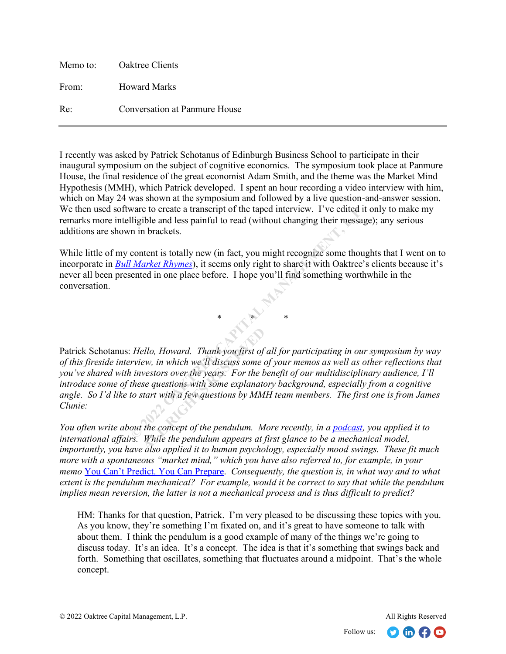|       | Memo to: Oaktree Clients      |
|-------|-------------------------------|
| From: | <b>Howard Marks</b>           |
| Re:   | Conversation at Panmure House |

I recently was asked by Patrick Schotanus of Edinburgh Business School to participate in their inaugural symposium on the subject of cognitive economics. The symposium took place at Panmure House, the final residence of the great economist Adam Smith, and the theme was the Market Mind Hypothesis (MMH), which Patrick developed. I spent an hour recording a video interview with him, which on May 24 was shown at the symposium and followed by a live question-and-answer session. We then used software to create a transcript of the taped interview. I've edited it only to make my remarks more intelligible and less painful to read (without changing their message); any serious additions are shown in brackets.

While little of my content is totally new (in fact, you might recognize some thoughts that I went on to incorporate in *[Bull Market Rhymes](https://www.oaktreecapital.com/insights/memo/bull-market-rhymes)*), it seems only right to share it with Oaktree's clients because it's never all been presented in one place before. I hope you'll find something worthwhile in the conversation.

\* \* \* \* \* \* \* \* \*

Patrick Schotanus: *Hello, Howard. Thank you first of all for participating in our symposium by way of this fireside interview, in which we'll discuss some of your memos as well as other reflections that you've shared with investors over the years. For the benefit of our multidisciplinary audience, I'll introduce some of these questions with some explanatory background, especially from a cognitive angle. So I'd like to start with a few questions by MMH team members. The first one is from James Clunie:*  ware to create a transcript of the taped interview. I've edited it<br>ligible and less painful to read (without changing their message<br>n in brackets.<br>content is totally new (in fact, you might recognize some though<br>*Market Rh* **ALL ACT ATTLE 2015**<br>
ALL ACT AND THE PERTURN THE RESERVENT THE RESERVENT ON THE RESERVENTION CONTINUITY And SEP ALL ATTLENT THE RESERVING THE CONCRETED AND WHILE the pendulum appears at *A* also annied it to human provide

*You often write about the concept of the pendulum. More recently, in a podcast, you applied it to international affairs. While the pendulum appears at first glance to be a mechanical model, importantly, you have also applied it to human psychology, especially mood swings. These fit much more with a spontaneous "market mind," which you have also referred to, for example, in your memo* [You Can't Predict. You Can Prepare.](https://www.oaktreecapital.com/docs/default-source/memos/2001-11-20-you-cant-predict-you-can-prepare.pdf) *Consequently, the question is, in what way and to what extent is the pendulum mechanical? For example, would it be correct to say that while the pendulum implies mean reversion, the latter is not a mechanical process and is thus difficult to predict?* 

HM: Thanks for that question, Patrick. I'm very pleased to be discussing these topics with you. As you know, they're something I'm fixated on, and it's great to have someone to talk with about them. I think the pendulum is a good example of many of the things we're going to discuss today. It's an idea. It's a concept. The idea is that it's something that swings back and forth. Something that oscillates, something that fluctuates around a midpoint. That's the whole concept.

 $\left( \text{in} \right)$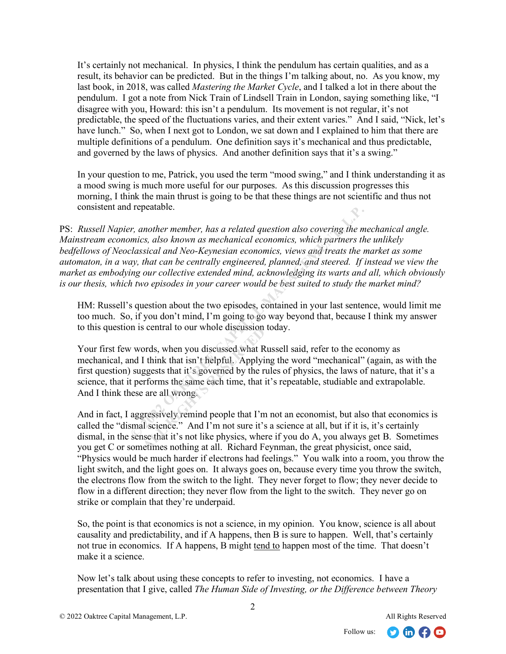It's certainly not mechanical. In physics, I think the pendulum has certain qualities, and as a result, its behavior can be predicted. But in the things I'm talking about, no. As you know, my last book, in 2018, was called *Mastering the Market Cycle*, and I talked a lot in there about the pendulum. I got a note from Nick Train of Lindsell Train in London, saying something like, "I disagree with you, Howard: this isn't a pendulum. Its movement is not regular, it's not predictable, the speed of the fluctuations varies, and their extent varies." And I said, "Nick, let's have lunch." So, when I next got to London, we sat down and I explained to him that there are multiple definitions of a pendulum. One definition says it's mechanical and thus predictable, and governed by the laws of physics. And another definition says that it's a swing."

In your question to me, Patrick, you used the term "mood swing," and I think understanding it as a mood swing is much more useful for our purposes. As this discussion progresses this morning, I think the main thrust is going to be that these things are not scientific and thus not consistent and repeatable.

PS: *Russell Napier, another member, has a related question also covering the mechanical angle. Mainstream economics, also known as mechanical economics, which partners the unlikely bedfellows of Neoclassical and Neo-Keynesian economics, views and treats the market as some automaton, in a way, that can be centrally engineered, planned, and steered. If instead we view the market as embodying our collective extended mind, acknowledging its warts and all, which obviously is our thesis, which two episodes in your career would be best suited to study the market mind? r*, *another member, has a related question also covering the memics, also known as mechanical economics, which partners the lassical and Neo-Keynesian economics, views and treats the may, that can be centrally engineered* 

HM: Russell's question about the two episodes, contained in your last sentence, would limit me too much. So, if you don't mind, I'm going to go way beyond that, because I think my answer to this question is central to our whole discussion today.

Your first few words, when you discussed what Russell said, refer to the economy as mechanical, and I think that isn't helpful. Applying the word "mechanical" (again, as with the first question) suggests that it's governed by the rules of physics, the laws of nature, that it's a science, that it performs the same each time, that it's repeatable, studiable and extrapolable. And I think these are all wrong. ords, when you discussed what R<br>I think that isn't helpful. Applyinggests that it's governed by the r<br>are all wrong.<br>are all wrong.<br>gressively remind people that I'm<br>are all wrong.<br>gressively remind people that I'm<br>il scie

And in fact, I aggressively remind people that I'm not an economist, but also that economics is called the "dismal science." And I'm not sure it's a science at all, but if it is, it's certainly dismal, in the sense that it's not like physics, where if you do A, you always get B. Sometimes you get C or sometimes nothing at all. Richard Feynman, the great physicist, once said, "Physics would be much harder if electrons had feelings." You walk into a room, you throw the light switch, and the light goes on. It always goes on, because every time you throw the switch, the electrons flow from the switch to the light. They never forget to flow; they never decide to flow in a different direction; they never flow from the light to the switch. They never go on strike or complain that they're underpaid.

So, the point is that economics is not a science, in my opinion. You know, science is all about causality and predictability, and if A happens, then B is sure to happen. Well, that's certainly not true in economics. If A happens, B might tend to happen most of the time. That doesn't make it a science.

Now let's talk about using these concepts to refer to investing, not economics. I have a presentation that I give, called *The Human Side of Investing, or the Difference between Theory* 

 $\mathcal{L}$ 

 $\Omega$  in  $\Omega$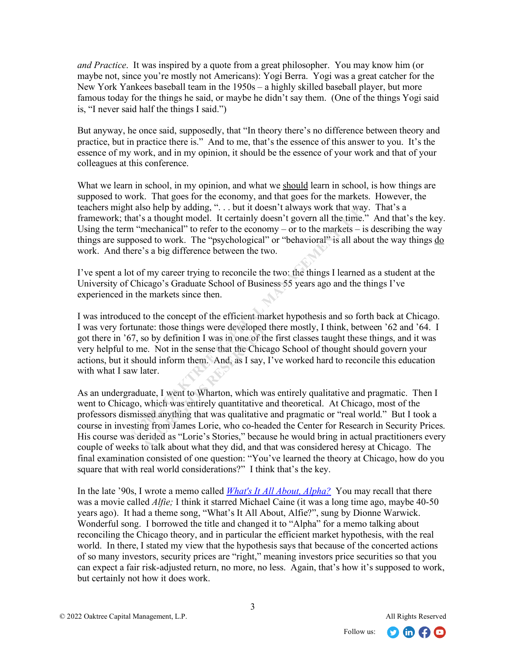*and Practice*. It was inspired by a quote from a great philosopher. You may know him (or maybe not, since you're mostly not Americans): Yogi Berra. Yogi was a great catcher for the New York Yankees baseball team in the 1950s – a highly skilled baseball player, but more famous today for the things he said, or maybe he didn't say them. (One of the things Yogi said is, "I never said half the things I said.")

But anyway, he once said, supposedly, that "In theory there's no difference between theory and practice, but in practice there is." And to me, that's the essence of this answer to you. It's the essence of my work, and in my opinion, it should be the essence of your work and that of your colleagues at this conference.

What we learn in school, in my opinion, and what we should learn in school, is how things are supposed to work. That goes for the economy, and that goes for the markets. However, the teachers might also help by adding, ". . . but it doesn't always work that way. That's a framework; that's a thought model. It certainly doesn't govern all the time." And that's the key. Using the term "mechanical" to refer to the economy – or to the markets – is describing the way things are supposed to work. The "psychological" or "behavioral" is all about the way things do work. And there's a big difference between the two.

I've spent a lot of my career trying to reconcile the two: the things I learned as a student at the University of Chicago's Graduate School of Business 55 years ago and the things I've experienced in the markets since then.

I was introduced to the concept of the efficient market hypothesis and so forth back at Chicago. I was very fortunate: those things were developed there mostly, I think, between '62 and '64. I got there in '67, so by definition I was in one of the first classes taught these things, and it was very helpful to me. Not in the sense that the Chicago School of thought should govern your actions, but it should inform them. And, as I say, I've worked hard to reconcile this education with what I saw later. ans' a a hought model. It creases the cosm of a tways work that way<br>in "a a hought model. It cretainly doesn't govern all the time."<br>
in "mechanical" to refer to the economy – or to the markets – is<br>
posed to work. The "ps

As an undergraduate, I went to Wharton, which was entirely qualitative and pragmatic. Then I went to Chicago, which was entirely quantitative and theoretical. At Chicago, most of the professors dismissed anything that was qualitative and pragmatic or "real world." But I took a course in investing from James Lorie, who co-headed the Center for Research in Security Prices. His course was derided as "Lorie's Stories," because he would bring in actual practitioners every couple of weeks to talk about what they did, and that was considered heresy at Chicago. The final examination consisted of one question: "You've learned the theory at Chicago, how do you square that with real world considerations?" I think that's the key. all Research I was in one of the Most Christian I was in one of the Most Christian I was in one of the Most Christian Christian Christian Christian Christian Christian Christian Christian Christian Christian Christian Chri

In the late '90s, I wrote a memo called *[What's It All About, Alpha?](https://www.oaktreecapital.com/docs/default-source/memos/2001-07-11-whats-it-all-about-alpha.pdf?sfvrsn=13bc0f65_2)* You may recall that there was a movie called *Alfie;* I think it starred Michael Caine (it was a long time ago, maybe 40-50 years ago). It had a theme song, "What's It All About, Alfie?", sung by Dionne Warwick. Wonderful song. I borrowed the title and changed it to "Alpha" for a memo talking about reconciling the Chicago theory, and in particular the efficient market hypothesis, with the real world. In there, I stated my view that the hypothesis says that because of the concerted actions of so many investors, security prices are "right," meaning investors price securities so that you can expect a fair risk-adjusted return, no more, no less. Again, that's how it's supposed to work, but certainly not how it does work.

3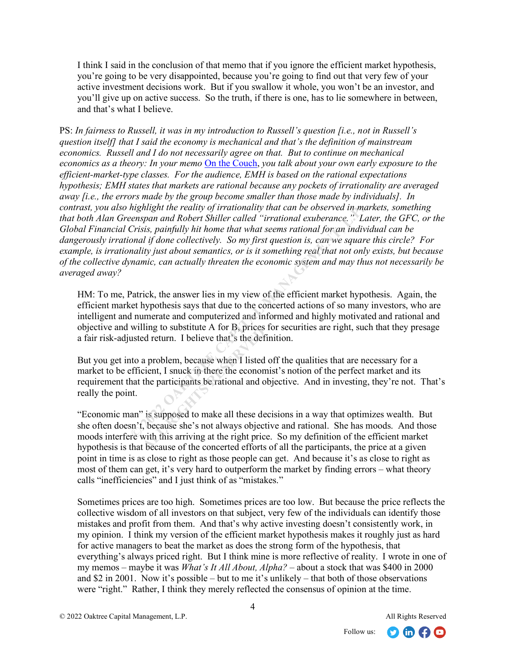I think I said in the conclusion of that memo that if you ignore the efficient market hypothesis, you're going to be very disappointed, because you're going to find out that very few of your active investment decisions work. But if you swallow it whole, you won't be an investor, and you'll give up on active success. So the truth, if there is one, has to lie somewhere in between, and that's what I believe.

PS: *In fairness to Russell, it was in my introduction to Russell's question [i.e., not in Russell's question itself] that I said the economy is mechanical and that's the definition of mainstream economics. Russell and I do not necessarily agree on that. But to continue on mechanical economics as a theory: In your memo* [On the Couch,](https://www.oaktreecapital.com/docs/default-source/memos/on-the-couch.pdf) *you talk about your own early exposure to the efficient-market-type classes. For the audience, EMH is based on the rational expectations hypothesis; EMH states that markets are rational because any pockets of irrationality are averaged away [i.e., the errors made by the group become smaller than those made by individuals]. In contrast, you also highlight the reality of irrationality that can be observed in markets, something that both Alan Greenspan and Robert Shiller called "irrational exuberance." Later, the GFC, or the Global Financial Crisis, painfully hit home that what seems rational for an individual can be dangerously irrational if done collectively. So my first question is, can we square this circle? For example, is irrationality just about semantics, or is it something real that not only exists, but because of the collective dynamic, can actually threaten the economic system and may thus not necessarily be averaged away? Mayingni me reatity of irrationatity intit can be observed in mail.<br>
Perispan and Robert Shiller called "irrational exuberance." La<br>
Cristis, painfully hit home that what seems rational exuberance." La<br>
Orists, painfully* 

HM: To me, Patrick, the answer lies in my view of the efficient market hypothesis. Again, the efficient market hypothesis says that due to the concerted actions of so many investors, who are intelligent and numerate and computerized and informed and highly motivated and rational and objective and willing to substitute A for B, prices for securities are right, such that they presage a fair risk-adjusted return. I believe that's the definition.

But you get into a problem, because when I listed off the qualities that are necessary for a market to be efficient, I snuck in there the economist's notion of the perfect market and its requirement that the participants be rational and objective. And in investing, they're not. That's really the point. Imperies to substitute A for B, prices<br>
a problem, because when I listed<br>
a problem, because when I listed<br>
cient, I snuck in there the econom<br>
the participants be rational and c<br>
<sup>2</sup> is supposed to make all these de<br>
beca

"Economic man" is supposed to make all these decisions in a way that optimizes wealth. But she often doesn't, because she's not always objective and rational. She has moods. And those moods interfere with this arriving at the right price. So my definition of the efficient market hypothesis is that because of the concerted efforts of all the participants, the price at a given point in time is as close to right as those people can get. And because it's as close to right as most of them can get, it's very hard to outperform the market by finding errors – what theory calls "inefficiencies" and I just think of as "mistakes."

Sometimes prices are too high. Sometimes prices are too low. But because the price reflects the collective wisdom of all investors on that subject, very few of the individuals can identify those mistakes and profit from them. And that's why active investing doesn't consistently work, in my opinion. I think my version of the efficient market hypothesis makes it roughly just as hard for active managers to beat the market as does the strong form of the hypothesis, that everything's always priced right. But I think mine is more reflective of reality. I wrote in one of my memos – maybe it was *What's It All About, Alpha?* – about a stock that was \$400 in 2000 and \$2 in 2001. Now it's possible – but to me it's unlikely – that both of those observations were "right." Rather, I think they merely reflected the consensus of opinion at the time.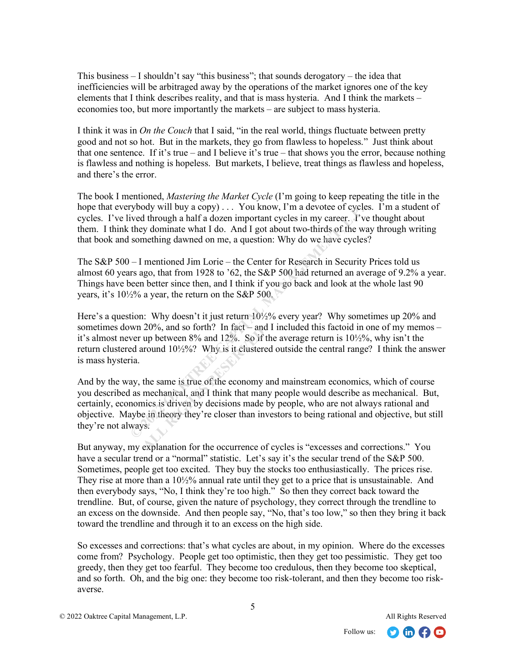This business – I shouldn't say "this business"; that sounds derogatory – the idea that inefficiencies will be arbitraged away by the operations of the market ignores one of the key elements that I think describes reality, and that is mass hysteria. And I think the markets – economies too, but more importantly the markets – are subject to mass hysteria.

I think it was in *On the Couch* that I said, "in the real world, things fluctuate between pretty good and not so hot. But in the markets, they go from flawless to hopeless." Just think about that one sentence. If it's true – and I believe it's true – that shows you the error, because nothing is flawless and nothing is hopeless. But markets, I believe, treat things as flawless and hopeless, and there's the error.

The book I mentioned, *Mastering the Market Cycle* (I'm going to keep repeating the title in the hope that everybody will buy a copy)... You know, I'm a devotee of cycles. I'm a student of cycles. I've lived through a half a dozen important cycles in my career. I've thought about them. I think they dominate what I do. And I got about two-thirds of the way through writing that book and something dawned on me, a question: Why do we have cycles?

The S&P 500 – I mentioned Jim Lorie – the Center for Research in Security Prices told us almost 60 years ago, that from 1928 to '62, the S&P 500 had returned an average of 9.2% a year. Things have been better since then, and I think if you go back and look at the whole last 90 years, it's 10½% a year, the return on the S&P 500.

Here's a question: Why doesn't it just return  $10\frac{1}{2}\%$  every year? Why sometimes up 20% and sometimes down 20%, and so forth? In fact  $-$  and I included this factoid in one of my memos  $$ it's almost never up between 8% and 12%. So if the average return is 10½%, why isn't the return clustered around 10½%? Why is it clustered outside the central range? I think the answer is mass hysteria. yology win buy a copy).... Tou kilow, T in a devote of cycles<br>the phongin a half a dozen important cycles in my carer. I'vee<br>they dominate what I do. And I got about two-thirds of the wa<br>something dawned on me, a question:

And by the way, the same is true of the economy and mainstream economics, which of course you described as mechanical, and I think that many people would describe as mechanical. But, certainly, economics is driven by decisions made by people, who are not always rational and objective. Maybe in theory they're closer than investors to being rational and objective, but still they're not always. 20%, and so form? In fact – and<br>up between 8% and 12%. So if<br>tround 10½%? Why is it clustere<br>the same is true of the economy<br>mechanical, and I think that mar<br>nics is driven by decisions made<br>e in theory they're closer tha

But anyway, my explanation for the occurrence of cycles is "excesses and corrections." You have a secular trend or a "normal" statistic. Let's say it's the secular trend of the S&P 500. Sometimes, people get too excited. They buy the stocks too enthusiastically. The prices rise. They rise at more than a 10½% annual rate until they get to a price that is unsustainable. And then everybody says, "No, I think they're too high." So then they correct back toward the trendline. But, of course, given the nature of psychology, they correct through the trendline to an excess on the downside. And then people say, "No, that's too low," so then they bring it back toward the trendline and through it to an excess on the high side.

So excesses and corrections: that's what cycles are about, in my opinion. Where do the excesses come from? Psychology. People get too optimistic, then they get too pessimistic. They get too greedy, then they get too fearful. They become too credulous, then they become too skeptical, and so forth. Oh, and the big one: they become too risk-tolerant, and then they become too riskaverse.



5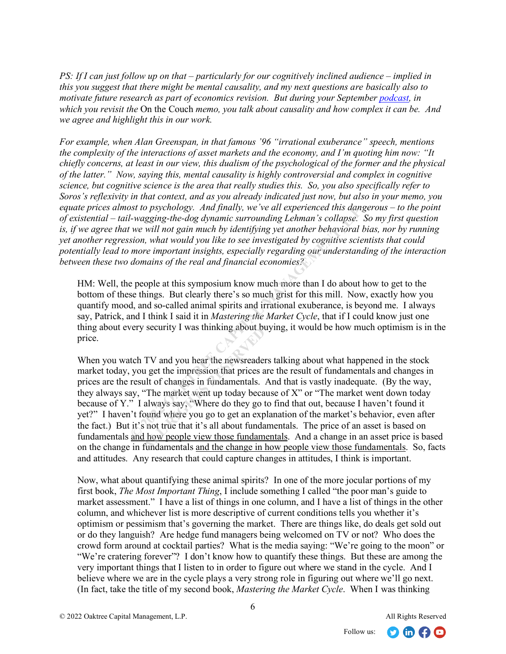*PS: If I can just follow up on that – particularly for our cognitively inclined audience – implied in this you suggest that there might be mental causality, and my next questions are basically also to motivate future research as part of economics revision. But during your September [podcast,](https://www.oaktreecapital.com/insights/memo-podcast/the-rewind-on-the-couch) in which you revisit the* On the Couch *memo, you talk about causality and how complex it can be. And we agree and highlight this in our work.* 

*For example, when Alan Greenspan, in that famous '96 "irrational exuberance" speech, mentions the complexity of the interactions of asset markets and the economy, and I'm quoting him now: "It chiefly concerns, at least in our view, this dualism of the psychological of the former and the physical of the latter." Now, saying this, mental causality is highly controversial and complex in cognitive science, but cognitive science is the area that really studies this. So, you also specifically refer to Soros's reflexivity in that context, and as you already indicated just now, but also in your memo, you equate prices almost to psychology. And finally, we've all experienced this dangerous – to the point of existential – tail-wagging-the-dog dynamic surrounding Lehman's collapse. So my first question is, if we agree that we will not gain much by identifying yet another behavioral bias, nor by running yet another regression, what would you like to see investigated by cognitive scientists that could potentially lead to more important insights, especially regarding our understanding of the interaction between these two domains of the real and financial economies?* 

HM: Well, the people at this symposium know much more than I do about how to get to the bottom of these things. But clearly there's so much grist for this mill. Now, exactly how you quantify mood, and so-called animal spirits and irrational exuberance, is beyond me. I always say, Patrick, and I think I said it in *Mastering the Market Cycle*, that if I could know just one thing about every security I was thinking about buying, it would be how much optimism is in the price.

When you watch TV and you hear the newsreaders talking about what happened in the stock market today, you get the impression that prices are the result of fundamentals and changes in prices are the result of changes in fundamentals. And that is vastly inadequate. (By the way, they always say, "The market went up today because of  $X$ " or "The market went down today because of Y." I always say, "Where do they go to find that out, because I haven't found it yet?" I haven't found where you go to get an explanation of the market's behavior, even after the fact.) But it's not true that it's all about fundamentals. The price of an asset is based on fundamentals and how people view those fundamentals. And a change in an asset price is based on the change in fundamentals and the change in how people view those fundamentals. So, facts and attitudes. Any research that could capture changes in attitudes, I think is important. or to psychology. Ana Jindity, we we all experience a instance<br>the angular-he-dog dynamic surrounding Lehman's collapse. See<br>we will not gain much by identifying yet another behavioral bision, what would you like to see in TV and you hear the newsreader<br>a get the impression that prices a<br>ult of changes in fundamentals.<br>"The market went up today beca<br>always say, "Where do they go to<br>ound where you go to get an exp<br>s not true that it's all abo

Now, what about quantifying these animal spirits? In one of the more jocular portions of my first book, *The Most Important Thing*, I include something I called "the poor man's guide to market assessment." I have a list of things in one column, and I have a list of things in the other column, and whichever list is more descriptive of current conditions tells you whether it's optimism or pessimism that's governing the market. There are things like, do deals get sold out or do they languish? Are hedge fund managers being welcomed on TV or not? Who does the crowd form around at cocktail parties? What is the media saying: "We're going to the moon" or "We're cratering forever"? I don't know how to quantify these things. But these are among the very important things that I listen to in order to figure out where we stand in the cycle. And I believe where we are in the cycle plays a very strong role in figuring out where we'll go next. (In fact, take the title of my second book, *Mastering the Market Cycle*. When I was thinking

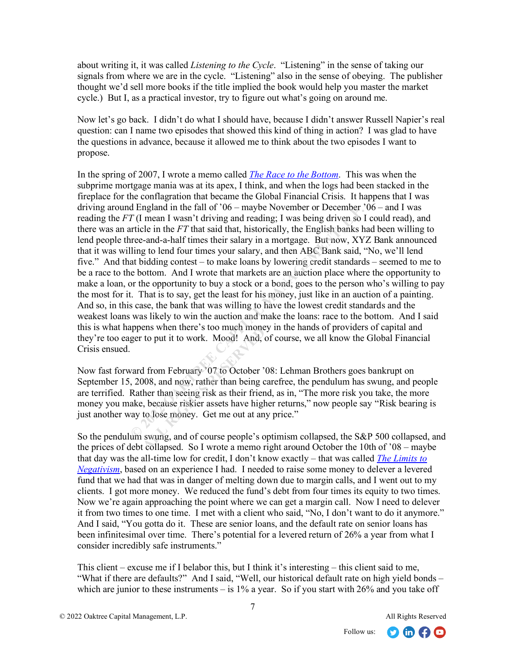about writing it, it was called *Listening to the Cycle*. "Listening" in the sense of taking our signals from where we are in the cycle. "Listening" also in the sense of obeying. The publisher thought we'd sell more books if the title implied the book would help you master the market cycle.) But I, as a practical investor, try to figure out what's going on around me.

Now let's go back. I didn't do what I should have, because I didn't answer Russell Napier's real question: can I name two episodes that showed this kind of thing in action? I was glad to have the questions in advance, because it allowed me to think about the two episodes I want to propose.

In the spring of 2007, I wrote a memo called *[The Race to the Bottom](https://www.oaktreecapital.com/docs/default-source/memos/2007-02-14-the-race-to-the-bottom.pdf)*. This was when the subprime mortgage mania was at its apex, I think, and when the logs had been stacked in the fireplace for the conflagration that became the Global Financial Crisis. It happens that I was driving around England in the fall of '06 – maybe November or December '06 – and I was reading the *FT* (I mean I wasn't driving and reading; I was being driven so I could read), and there was an article in the *FT* that said that, historically, the English banks had been willing to lend people three-and-a-half times their salary in a mortgage. But now, XYZ Bank announced that it was willing to lend four times your salary, and then ABC Bank said, "No, we'll lend five." And that bidding contest – to make loans by lowering credit standards – seemed to me to be a race to the bottom. And I wrote that markets are an auction place where the opportunity to make a loan, or the opportunity to buy a stock or a bond, goes to the person who's willing to pay the most for it. That is to say, get the least for his money, just like in an auction of a painting. And so, in this case, the bank that was willing to have the lowest credit standards and the weakest loans was likely to win the auction and make the loans: race to the bottom. And I said this is what happens when there's too much money in the hands of providers of capital and they're too eager to put it to work. Mood! And, of course, we all know the Global Financial Crisis ensued. England ni the fail of '00 – maybe 'November of December' to The Tap on T (I mean I wasn't driving and reading; I was being driven so I rife and I wash that said that, historically, the English banks have e-and-a-half time

Now fast forward from February '07 to October '08: Lehman Brothers goes bankrupt on September 15, 2008, and now, rather than being carefree, the pendulum has swung, and people are terrified. Rather than seeing risk as their friend, as in, "The more risk you take, the more money you make, because riskier assets have higher returns," now people say "Risk bearing is just another way to lose money. Get me out at any price." to put it to work. Mood! And, to put it to work. Mood! And, of<br>All from February '07 to October'<br>108, and now, rather than being cher than seeing risk as their frien<br>ther than seeing risk as their frien<br>to lose money. Get

So the pendulum swung, and of course people's optimism collapsed, the S&P 500 collapsed, and the prices of debt collapsed. So I wrote a memo right around October the 10th of '08 – maybe that day was the all-time low for credit, I don't know exactly – that was called *[The Limits to](https://www.oaktreecapital.com/docs/default-source/memos/2008-10-15-the-limits-to-negativism.pdf?sfvrsn=fbbc0f65_2)  [Negativism](https://www.oaktreecapital.com/docs/default-source/memos/2008-10-15-the-limits-to-negativism.pdf?sfvrsn=fbbc0f65_2)*, based on an experience I had. I needed to raise some money to delever a levered fund that we had that was in danger of melting down due to margin calls, and I went out to my clients. I got more money. We reduced the fund's debt from four times its equity to two times. Now we're again approaching the point where we can get a margin call. Now I need to delever it from two times to one time. I met with a client who said, "No, I don't want to do it anymore." And I said, "You gotta do it. These are senior loans, and the default rate on senior loans has been infinitesimal over time. There's potential for a levered return of 26% a year from what I consider incredibly safe instruments."

This client – excuse me if I belabor this, but I think it's interesting – this client said to me, "What if there are defaults?" And I said, "Well, our historical default rate on high yield bonds – which are junior to these instruments – is  $1\%$  a year. So if you start with 26% and you take off

7

 $\Omega$  in  $\Omega$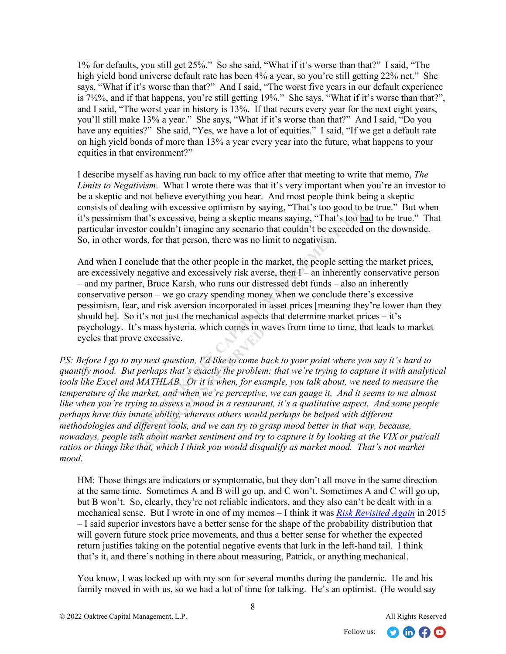1% for defaults, you still get 25%." So she said, "What if it's worse than that?" I said, "The high yield bond universe default rate has been 4% a year, so you're still getting 22% net." She says, "What if it's worse than that?" And I said, "The worst five years in our default experience is 7½%, and if that happens, you're still getting 19%." She says, "What if it's worse than that?", and I said, "The worst year in history is 13%. If that recurs every year for the next eight years, you'll still make 13% a year." She says, "What if it's worse than that?" And I said, "Do you have any equities?" She said, "Yes, we have a lot of equities." I said, "If we get a default rate on high yield bonds of more than 13% a year every year into the future, what happens to your equities in that environment?"

I describe myself as having run back to my office after that meeting to write that memo, *The Limits to Negativism*. What I wrote there was that it's very important when you're an investor to be a skeptic and not believe everything you hear. And most people think being a skeptic consists of dealing with excessive optimism by saying, "That's too good to be true." But when it's pessimism that's excessive, being a skeptic means saying, "That's too bad to be true." That particular investor couldn't imagine any scenario that couldn't be exceeded on the downside. So, in other words, for that person, there was no limit to negativism.

And when I conclude that the other people in the market, the people setting the market prices, are excessively negative and excessively risk averse, then  $I$  – an inherently conservative person – and my partner, Bruce Karsh, who runs our distressed debt funds – also an inherently conservative person – we go crazy spending money when we conclude there's excessive pessimism, fear, and risk aversion incorporated in asset prices [meaning they're lower than they should be]. So it's not just the mechanical aspects that determine market prices  $-$  it's psychology. It's mass hysteria, which comes in waves from time to time, that leads to market cycles that prove excessive. anny wine excessive optimian by saying, That s too good to b<br>
at that's excessive, being a skeptic means saying, "That's too <u>bas</u><br>
at that's excessive, being a skeptic means saying. "That's too <u>bas</u><br>
ords, for that perso

*PS: Before I go to my next question, I'd like to come back to your point where you say it's hard to quantify mood. But perhaps that's exactly the problem: that we're trying to capture it with analytical tools like Excel and MATHLAB. Or it is when, for example, you talk about, we need to measure the temperature of the market, and when we're perceptive, we can gauge it. And it seems to me almost like when you're trying to assess a mood in a restaurant, it's a qualitative aspect. And some people perhaps have this innate ability, whereas others would perhaps be helped with different methodologies and different tools, and we can try to grasp mood better in that way, because, nowadays, people talk about market sentiment and try to capture it by looking at the VIX or put/call ratios or things like that, which I think you would disqualify as market mood. That's not market mood.*  mass nysteria, which comes in w<br>excessive.<br>next question, I'd like to come b<br>erhaps that's exactly the problem<br>IATHLAB. Or it is when, for exa<br>urket, and when we're perceptive<br>ig to assess a mood in a restaura<br>ate ability,

HM: Those things are indicators or symptomatic, but they don't all move in the same direction at the same time. Sometimes A and B will go up, and C won't. Sometimes A and C will go up, but B won't. So, clearly, they're not reliable indicators, and they also can't be dealt with in a mechanical sense. But I wrote in one of my memos – I think it was *[Risk Revisited Again](https://www.oaktreecapital.com/docs/default-source/memos/2015-06-08-risk-revisited-again.pdf?sfvrsn=7bb70f65_2)* in 2015 – I said superior investors have a better sense for the shape of the probability distribution that will govern future stock price movements, and thus a better sense for whether the expected return justifies taking on the potential negative events that lurk in the left-hand tail. I think that's it, and there's nothing in there about measuring, Patrick, or anything mechanical.

You know, I was locked up with my son for several months during the pandemic. He and his family moved in with us, so we had a lot of time for talking. He's an optimist. (He would say

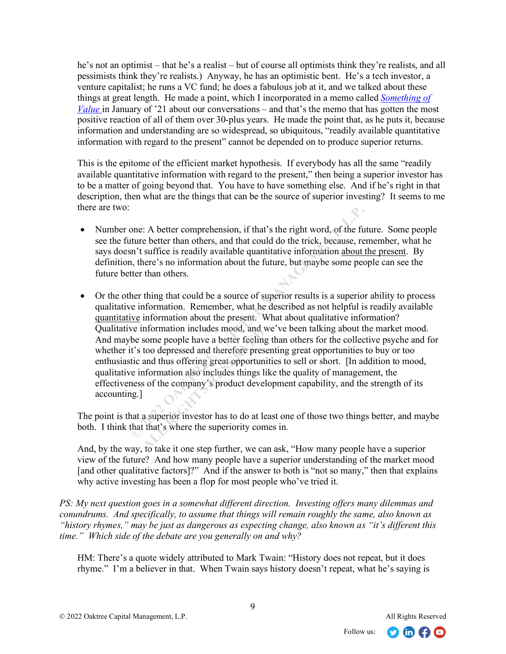he's not an optimist – that he's a realist – but of course all optimists think they're realists, and all pessimists think they're realists.) Anyway, he has an optimistic bent. He's a tech investor, a venture capitalist; he runs a VC fund; he does a fabulous job at it, and we talked about these things at great length. He made a point, which I incorporated in a memo called *[Something of](https://www.oaktreecapital.com/docs/default-source/memos/something-of-value.pdf)  [Value](https://www.oaktreecapital.com/docs/default-source/memos/something-of-value.pdf)* in January of '21 about our conversations – and that's the memo that has gotten the most positive reaction of all of them over 30-plus years. He made the point that, as he puts it, because information and understanding are so widespread, so ubiquitous, "readily available quantitative information with regard to the present" cannot be depended on to produce superior returns.

This is the epitome of the efficient market hypothesis. If everybody has all the same "readily available quantitative information with regard to the present," then being a superior investor has to be a matter of going beyond that. You have to have something else. And if he's right in that description, then what are the things that can be the source of superior investing? It seems to me there are two:

- Number one: A better comprehension, if that's the right word, of the future. Some people see the future better than others, and that could do the trick, because, remember, what he says doesn't suffice is readily available quantitative information about the present. By definition, there's no information about the future, but maybe some people can see the future better than others.
- Or the other thing that could be a source of superior results is a superior ability to process qualitative information. Remember, what he described as not helpful is readily available quantitative information about the present. What about qualitative information? Qualitative information includes mood, and we've been talking about the market mood. And maybe some people have a better feeling than others for the collective psyche and for whether it's too depressed and therefore presenting great opportunities to buy or too enthusiastic and thus offering great opportunities to sell or short. [In addition to mood, qualitative information also includes things like the quality of management, the effectiveness of the company's product development capability, and the strength of its accounting.] one: A better comprehension, if that's the right word, of the future better than others, and that could do the trick, because, ren in't suffice is readily available quantitative information <u>about the</u>, there's no informat Information includes mood, and v<br>some people have a better feeling<br>too depressed and therefore pres<br>and thus offering great opportun<br>information also includes things l<br>s of the company's product deve<br>a superior investor ha

The point is that a superior investor has to do at least one of those two things better, and maybe both. I think that that's where the superiority comes in.

And, by the way, to take it one step further, we can ask, "How many people have a superior view of the future? And how many people have a superior understanding of the market mood [and other qualitative factors]?" And if the answer to both is "not so many," then that explains why active investing has been a flop for most people who've tried it.

*PS: My next question goes in a somewhat different direction. Investing offers many dilemmas and conundrums. And specifically, to assume that things will remain roughly the same, also known as "history rhymes," may be just as dangerous as expecting change, also known as "it's different this time." Which side of the debate are you generally on and why?* 

HM: There's a quote widely attributed to Mark Twain: "History does not repeat, but it does rhyme." I'm a believer in that. When Twain says history doesn't repeat, what he's saying is



(in)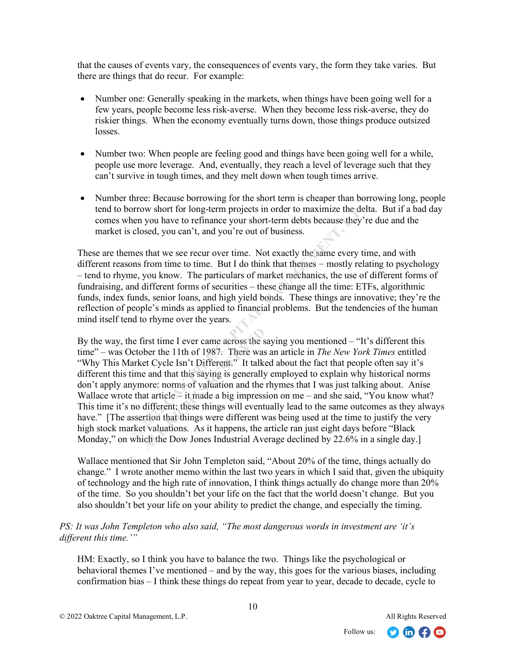that the causes of events vary, the consequences of events vary, the form they take varies. But there are things that do recur. For example:

- Number one: Generally speaking in the markets, when things have been going well for a few years, people become less risk-averse. When they become less risk-averse, they do riskier things. When the economy eventually turns down, those things produce outsized losses.
- Number two: When people are feeling good and things have been going well for a while, people use more leverage. And, eventually, they reach a level of leverage such that they can't survive in tough times, and they melt down when tough times arrive.
- Number three: Because borrowing for the short term is cheaper than borrowing long, people tend to borrow short for long-term projects in order to maximize the delta. But if a bad day comes when you have to refinance your short-term debts because they're due and the market is closed, you can't, and you're out of business.

These are themes that we see recur over time. Not exactly the same every time, and with different reasons from time to time. But I do think that themes – mostly relating to psychology – tend to rhyme, you know. The particulars of market mechanics, the use of different forms of fundraising, and different forms of securities – these change all the time: ETFs, algorithmic funds, index funds, senior loans, and high yield bonds. These things are innovative; they're the reflection of people's minds as applied to financial problems. But the tendencies of the human mind itself tend to rhyme over the years.

By the way, the first time I ever came across the saying you mentioned – "It's different this time" – was October the 11th of 1987. There was an article in *The New York Times* entitled "Why This Market Cycle Isn't Different." It talked about the fact that people often say it's different this time and that this saying is generally employed to explain why historical norms don't apply anymore: norms of valuation and the rhymes that I was just talking about. Anise Wallace wrote that article – it made a big impression on me – and she said, "You know what? This time it's no different; these things will eventually lead to the same outcomes as they always have." The assertion that things were different was being used at the time to justify the very high stock market valuations. As it happens, the article ran just eight days before "Black Monday," on which the Dow Jones Industrial Average declined by 22.6% in a single day.] between your short for long-term projects in order to maximize the delt<br>hen you have to refinance your short-term debts because they're<br>closed, you can't, and you're out of business.<br>mes that we see recur over time. Not ex First time I ever came across the s<br>bber the 11th of 1987. There was<br>et Cycle Isn't Different." It talk<br>e and that this saying is generally<br>nore: norms of valuation and the<br>at article – it made a big impress<br>different; the

Wallace mentioned that Sir John Templeton said, "About 20% of the time, things actually do change." I wrote another memo within the last two years in which I said that, given the ubiquity of technology and the high rate of innovation, I think things actually do change more than 20% of the time. So you shouldn't bet your life on the fact that the world doesn't change. But you also shouldn't bet your life on your ability to predict the change, and especially the timing.

## *PS: It was John Templeton who also said, "The most dangerous words in investment are 'it's different this time.'"*

HM: Exactly, so I think you have to balance the two. Things like the psychological or behavioral themes I've mentioned – and by the way, this goes for the various biases, including confirmation bias – I think these things do repeat from year to year, decade to decade, cycle to

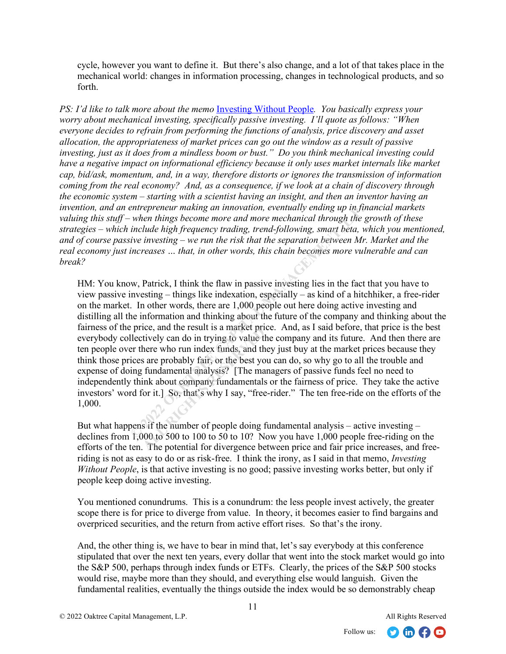cycle, however you want to define it. But there's also change, and a lot of that takes place in the mechanical world: changes in information processing, changes in technological products, and so forth.

*PS: I'd like to talk more about the memo* **[Investing Without People](https://www.oaktreecapital.com/docs/default-source/memos/investing-without-people.pdf)**. You basically express your *worry about mechanical investing, specifically passive investing. I'll quote as follows: "When everyone decides to refrain from performing the functions of analysis, price discovery and asset allocation, the appropriateness of market prices can go out the window as a result of passive investing, just as it does from a mindless boom or bust." Do you think mechanical investing could*  have a negative impact on informational efficiency because it only uses market internals like market *cap, bid/ask, momentum, and, in a way, therefore distorts or ignores the transmission of information coming from the real economy? And, as a consequence, if we look at a chain of discovery through the economic system – starting with a scientist having an insight, and then an inventor having an invention, and an entrepreneur making an innovation, eventually ending up in financial markets valuing this stuff – when things become more and more mechanical through the growth of these strategies – which include high frequency trading, trend-following, smart beta, which you mentioned, and of course passive investing – we run the risk that the separation between Mr. Market and the real economy just increases … that, in other words, this chain becomes more vulnerable and can break?*

HM: You know, Patrick, I think the flaw in passive investing lies in the fact that you have to view passive investing – things like indexation, especially – as kind of a hitchhiker, a free-rider on the market. In other words, there are 1,000 people out here doing active investing and distilling all the information and thinking about the future of the company and thinking about the fairness of the price, and the result is a market price. And, as I said before, that price is the best everybody collectively can do in trying to value the company and its future. And then there are ten people over there who run index funds, and they just buy at the market prices because they think those prices are probably fair, or the best you can do, so why go to all the trouble and expense of doing fundamental analysis? [The managers of passive funds feel no need to independently think about company fundamentals or the fairness of price. They take the active investors' word for it.] So, that's why I say, "free-rider." The ten free-ride on the efforts of the 1,000. *Examber thing become more and more mechanical through the g. when thing become more and more mechanical through the gigh frequency trading, trend-following, smart beta, wive investing – we run the risk that the separation* Fixely can do in trying to value there who run index funds, and there who run index funds, and there who run index funds, and the same probably fair, or the best yo fundamental analysis? [The maink about company fundamenta

But what happens if the number of people doing fundamental analysis – active investing – declines from 1,000 to 500 to 100 to 50 to 10? Now you have 1,000 people free-riding on the efforts of the ten. The potential for divergence between price and fair price increases, and freeriding is not as easy to do or as risk-free. I think the irony, as I said in that memo, *Investing Without People*, is that active investing is no good; passive investing works better, but only if people keep doing active investing.

You mentioned conundrums. This is a conundrum: the less people invest actively, the greater scope there is for price to diverge from value. In theory, it becomes easier to find bargains and overpriced securities, and the return from active effort rises. So that's the irony.

And, the other thing is, we have to bear in mind that, let's say everybody at this conference stipulated that over the next ten years, every dollar that went into the stock market would go into the S&P 500, perhaps through index funds or ETFs. Clearly, the prices of the S&P 500 stocks would rise, maybe more than they should, and everything else would languish. Given the fundamental realities, eventually the things outside the index would be so demonstrably cheap

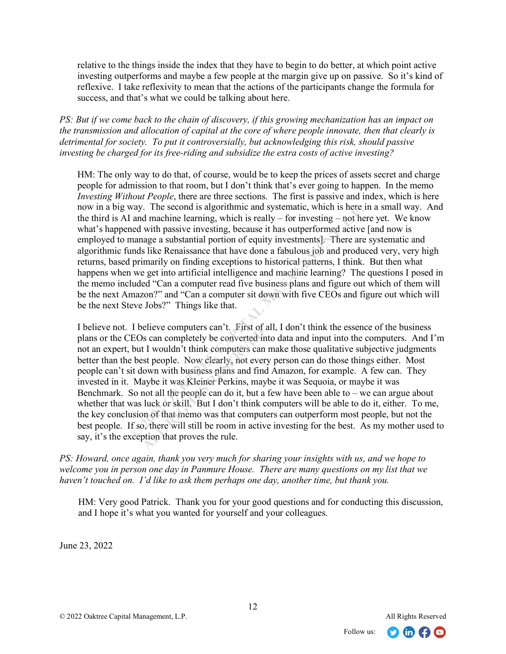relative to the things inside the index that they have to begin to do better, at which point active investing outperforms and maybe a few people at the margin give up on passive. So it's kind of reflexive. I take reflexivity to mean that the actions of the participants change the formula for success, and that's what we could be talking about here.

*PS: But if we come back to the chain of discovery, if this growing mechanization has an impact on the transmission and allocation of capital at the core of where people innovate, then that clearly is detrimental for society. To put it controversially, but acknowledging this risk, should passive investing be charged for its free-riding and subsidize the extra costs of active investing?* 

HM: The only way to do that, of course, would be to keep the prices of assets secret and charge people for admission to that room, but I don't think that's ever going to happen. In the memo *Investing Without People*, there are three sections. The first is passive and index, which is here now in a big way. The second is algorithmic and systematic, which is here in a small way. And the third is AI and machine learning, which is really – for investing – not here yet. We know what's happened with passive investing, because it has outperformed active [and now is employed to manage a substantial portion of equity investments]. There are systematic and algorithmic funds like Renaissance that have done a fabulous job and produced very, very high returns, based primarily on finding exceptions to historical patterns, I think. But then what happens when we get into artificial intelligence and machine learning? The questions I posed in the memo included "Can a computer read five business plans and figure out which of them will be the next Amazon?" and "Can a computer sit down with five CEOs and figure out which will be the next Steve Jobs?" Things like that.

I believe not. I believe computers can't. First of all, I don't think the essence of the business plans or the CEOs can completely be converted into data and input into the computers. And I'm not an expert, but I wouldn't think computers can make those qualitative subjective judgments better than the best people. Now clearly, not every person can do those things either. Most people can't sit down with business plans and find Amazon, for example. A few can. They invested in it. Maybe it was Kleiner Perkins, maybe it was Sequoia, or maybe it was Benchmark. So not all the people can do it, but a few have been able to  $-$  we can argue about whether that was luck or skill. But I don't think computers will be able to do it, either. To me, the key conclusion of that memo was that computers can outperform most people, but not the best people. If so, there will still be room in active investing for the best. As my mother used to say, it's the exception that proves the rule. Agy. The second is algorithmic and systematic, which is here in<br>and machine learning, which is really – for investing – not here<br>and with passive investing, because it has outperformed active [<br>manage a substantial portion **ALL RESERVE COMPUTERS CALL ATTENTS OF** Scan completely be converted in t I wouldn't think computers can set people. Now clearly, not ever lown with business plans and find aybe it was Kleiner Perkins, may not all the peop

*PS: Howard, once again, thank you very much for sharing your insights with us, and we hope to welcome you in person one day in Panmure House. There are many questions on my list that we haven't touched on. I'd like to ask them perhaps one day, another time, but thank you.* 

HM: Very good Patrick. Thank you for your good questions and for conducting this discussion, and I hope it's what you wanted for yourself and your colleagues.

June 23, 2022